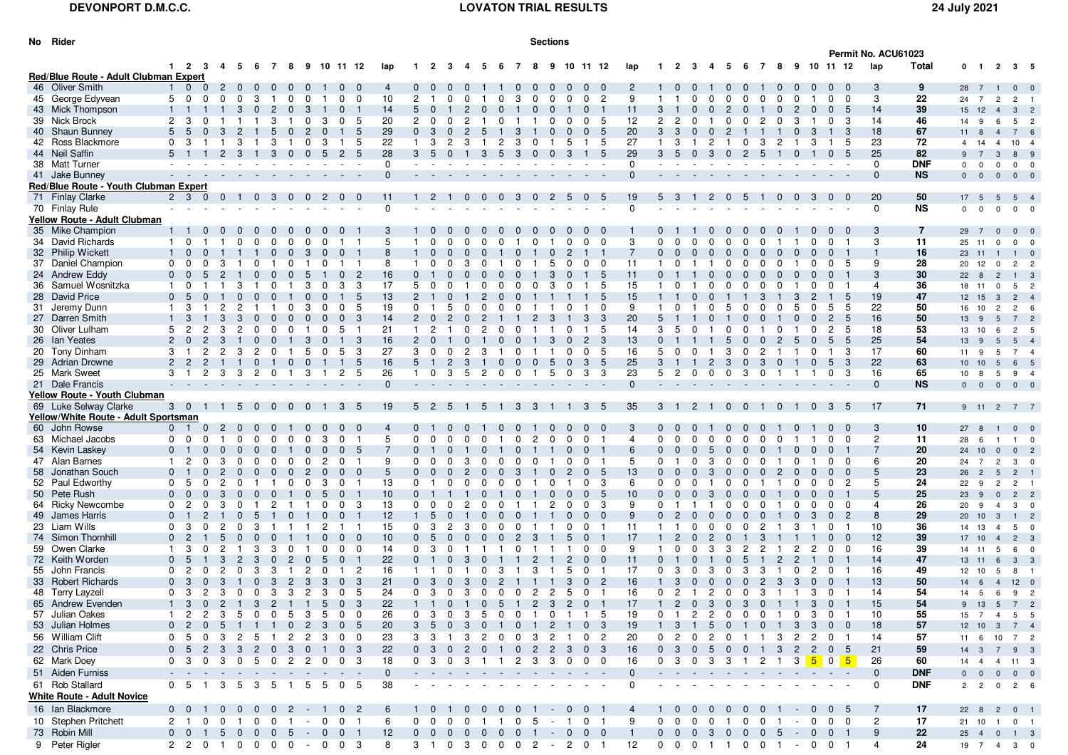<sup>1</sup> <sup>4</sup> **<sup>24</sup>** <sup>19</sup> <sup>7</sup> <sup>4</sup> <sup>3</sup> <sup>0</sup>

| No Rider                                       |                                  |                |                |                |                         |                            |                              |                            |                            |                |                         |                            |                |                     |                         |                                |                |                      |                | <b>Sections</b> |                |                                         |                |                |                                  |                      |                  |                         |                     |                          |                |                |                            |                     |                  |                 |                |                                |                                                 |
|------------------------------------------------|----------------------------------|----------------|----------------|----------------|-------------------------|----------------------------|------------------------------|----------------------------|----------------------------|----------------|-------------------------|----------------------------|----------------|---------------------|-------------------------|--------------------------------|----------------|----------------------|----------------|-----------------|----------------|-----------------------------------------|----------------|----------------|----------------------------------|----------------------|------------------|-------------------------|---------------------|--------------------------|----------------|----------------|----------------------------|---------------------|------------------|-----------------|----------------|--------------------------------|-------------------------------------------------|
|                                                |                                  |                |                |                |                         |                            |                              |                            |                            |                |                         |                            |                |                     |                         |                                |                |                      |                |                 |                |                                         |                |                |                                  |                      |                  |                         |                     |                          |                |                |                            | Permit No. ACU61023 |                  |                 |                |                                |                                                 |
|                                                |                                  |                |                |                |                         |                            |                              |                            | 1 2 3 4 5 6 7 8 9 10 11 12 |                |                         | lap                        |                | $1 \quad 2 \quad 3$ | $\overline{\mathbf{4}}$ | -5                             | - 6            | 7                    | -8             | - 9             |                | 10 11 12                                | lap            | $\mathbf{1}$   | $\overline{2}$<br>- 3            | -4                   | - 5              | - 6                     | 78                  |                          |                |                | 9 10 11 12                 | lap                 | Total            | $0 \quad 1$     |                |                                | 2 3 5                                           |
| Red/Blue Route - Adult Clubman Expert          |                                  |                |                |                |                         |                            |                              |                            |                            |                |                         |                            |                |                     |                         |                                |                |                      |                |                 |                |                                         |                |                |                                  |                      |                  |                         |                     |                          |                |                |                            |                     |                  |                 |                |                                |                                                 |
| 46 Oliver Smith                                | $1 \quad 0$                      |                | $\overline{0}$ | $\overline{2}$ | $\mathbf{0}$            | $\Omega$                   | $\Omega$                     |                            |                            |                |                         | $\overline{4}$             | $\Omega$       |                     |                         |                                |                |                      |                |                 |                | $\Omega$                                | $\overline{2}$ |                |                                  |                      |                  |                         |                     |                          |                |                |                            | 3                   | 9                | 28              | - 7            |                                | $\mathbf{0}$<br>$\mathbf{0}$                    |
| 45 George Edyvean                              | 5 0                              |                |                | $\Omega$       | $\Omega$                | 3<br>$\blacksquare$        | 0                            |                            |                            | <sup>0</sup>   | $\Omega$                | 10                         | $\mathcal{P}$  |                     |                         |                                |                | з                    |                |                 |                | $\overline{2}$<br>$\Omega$              | 9              |                |                                  |                      | $\Omega$         |                         | $\Omega$            |                          | $\Omega$       | $\Omega$       | $\Omega$                   | 3                   | 22               | 24              | 7              | $\overline{2}$                 | $\overline{2}$<br>$\blacksquare$                |
| 43 Mick Thompson                               |                                  |                |                |                | 3                       | $\mathbf{0}$               | $\mathbf{2}$<br>$\mathbf{0}$ | 3                          |                            |                |                         | 14                         | 5              |                     |                         |                                |                |                      |                |                 |                |                                         | 11             | 3              |                                  |                      | $\overline{2}$   |                         |                     |                          | $\overline{2}$ |                | -5                         | 14                  | 39               | 15              | 12             | $\overline{4}$<br>$\mathbf{3}$ | $\overline{c}$                                  |
| 39 Nick Brock                                  | $\overline{2}$                   | -3             |                |                |                         | 3                          |                              |                            | 3                          |                |                         | 20                         | $\overline{2}$ |                     |                         |                                |                |                      |                |                 |                |                                         | 12             | $\overline{2}$ | 2                                |                      |                  |                         |                     |                          | 3              |                | -3                         | 14                  | 46               | 14              | 9              | 6                              | 5<br>$\overline{2}$                             |
| 40 Shaun Bunney                                | 5                                | - 5            |                | 3              | 2                       |                            | $\mathbf{0}$                 |                            |                            |                |                         | 29                         | $\Omega$       | 3                   |                         | $\overline{2}$                 |                |                      |                |                 |                | 5                                       | 20             | 3              | -3<br>$\Omega$                   | 0                    | $\overline{2}$   |                         |                     |                          | $\Omega$       |                | 3                          | 18                  | 67               | 11              | 8              | $\overline{4}$                 | 6<br>$7^{\circ}$                                |
| 42 Ross Blackmore                              | 0 <sup>3</sup>                   |                |                |                | 3                       |                            | 3                            |                            |                            |                | -5                      | 22                         |                | 3                   | 2                       | 3                              | 2              | 3                    | 0              |                 | 5              | 5                                       | 27             |                |                                  |                      |                  |                         | 3                   |                          |                |                | -5                         | 23                  | 72               |                 | 14             | $\overline{4}$                 | 10 <sup>1</sup>                                 |
| 44 Neil Saffin                                 | $5 \quad 1$                      |                |                | $2^{\circ}$    | 3                       | $\mathbf{1}$               | 3                            | $\overline{0}$<br>$\Omega$ | -5                         | 2 <sub>5</sub> |                         | 28                         | 3 <sub>5</sub> |                     | $\Omega$                |                                | $3\quad 5$     | $\mathbf{3}$         | $\overline{0}$ | $\overline{0}$  | 3              | 1 5                                     | 29             | 3              | - 5<br>$\overline{0}$            | -3                   |                  | 0 <sub>2</sub>          | 5                   | $\mathbf{1}$             | $\mathbf{0}$   |                | $\overline{0}$<br>-5       | 25                  | 82               |                 | $\overline{7}$ | 3                              | 9<br>8                                          |
| 38 Matt Turner                                 |                                  |                |                |                |                         |                            |                              |                            |                            |                |                         | $\Omega$                   |                |                     |                         |                                |                |                      |                |                 |                |                                         | $\Omega$       |                |                                  |                      |                  |                         |                     |                          |                |                |                            | $\Omega$            | <b>DNF</b>       | $\mathbf{0}$    | $^{\circ}$     | $\mathbf 0$                    | $\mathbf{0}$<br>$\overline{\phantom{0}}$        |
| 41 Jake Bunney                                 |                                  |                |                |                |                         |                            |                              |                            |                            |                |                         | $\Omega$                   |                |                     |                         |                                |                |                      |                |                 |                |                                         | $\Omega$       |                |                                  |                      |                  |                         |                     |                          |                |                |                            | $\Omega$            | <b>NS</b>        | $\overline{0}$  | $\overline{0}$ | $\overline{0}$                 | $0\quad 0$                                      |
| <b>Red/Blue Route - Youth Clubman Expert</b>   |                                  |                |                |                |                         |                            |                              |                            |                            |                |                         |                            |                |                     |                         |                                |                |                      |                |                 |                |                                         |                |                |                                  |                      |                  |                         |                     |                          |                |                |                            |                     |                  |                 |                |                                |                                                 |
| 71 Finlay Clarke                               | $2 \quad 3$                      |                | - 0            | $\overline{0}$ | $\blacksquare$          | 0 <sub>3</sub>             | $\mathbf{0}$                 |                            | 2                          | $\Omega$       |                         | 11<br>$\Omega$             |                | 2                   |                         | $\Omega$<br>0                  | $\Omega$       | -3                   | 0              | 2               | -5             | - 5<br>$\Omega$                         | 19<br>$\Omega$ | 5              | -3                               | 2                    | $\Omega$         | 5                       |                     | 0                        |                |                | $\Omega$                   | 20                  | 50               | 17 5            | $-5$           | $5^{\circ}$                    | $\overline{4}$                                  |
| 70 Finlay Rule<br>Yellow Route - Adult Clubman |                                  |                |                |                |                         |                            |                              |                            |                            |                |                         |                            |                |                     |                         |                                |                |                      |                |                 |                |                                         |                |                |                                  |                      |                  |                         |                     |                          |                |                |                            | $\mathbf 0$         | <b>NS</b>        | <sup>0</sup>    | $\Omega$       | $\Omega$                       | $\mathbf{0}$<br>$\mathbf 0$                     |
|                                                |                                  |                |                |                |                         |                            |                              |                            |                            |                |                         |                            |                |                     |                         |                                |                |                      |                |                 |                |                                         |                |                |                                  |                      |                  |                         |                     |                          |                |                |                            |                     |                  |                 |                |                                |                                                 |
| 35 Mike Champion<br>34 David Richards          | $1 \quad 1$                      |                |                |                |                         | $\Omega$                   | $\Omega$                     |                            |                            |                |                         | -3<br>5                    |                |                     |                         | $\Omega$                       | $\Omega$       |                      |                |                 |                | 0                                       | $\overline{3}$ | $\Omega$       | <sup>0</sup>                     |                      | $\Omega$         | $\Omega$                | $\Omega$            |                          |                |                |                            | 3                   | $\overline{7}$   | 29              |                | $\mathbf{0}$                   |                                                 |
| 32 Philip Wickett                              |                                  | $\Omega$       |                |                |                         | $\Omega$                   | $\mathbf{0}$                 | -3                         |                            | $\Omega$       |                         | 8                          |                | $\Omega$            | <sup>n</sup>            |                                |                |                      |                | n               | 2              | 0                                       |                | $\Omega$       | $\Omega$                         |                      | $\Omega$         | $\Omega$                | $\Omega$            | $\Omega$                 |                | $\Omega$       |                            | 3                   | 11<br>16         | 25              | 11             | $\mathbf 0$<br>$^{\circ}$      |                                                 |
| 37 Daniel Champion                             | $\Omega$                         | $\Omega$       |                |                |                         |                            |                              |                            |                            |                |                         | 8                          |                |                     |                         |                                |                |                      |                | 5               |                | 0<br>0                                  | 11             |                |                                  |                      | <sup>0</sup>     |                         | <sup>0</sup>        |                          |                |                |                            | 9                   | 28               | 23 11<br>20     | 12             | $\overline{0}$                 | $\mathbf 0$<br>$\overline{2}$<br>$\overline{c}$ |
| 24 Andrew Eddy                                 | $\overline{0}$                   | $\Omega$       | 5              |                |                         | $\Omega$                   | $\mathbf{0}$<br>0            |                            |                            | $\Omega$       | $\overline{2}$          | 16                         | $\mathbf{0}$   |                     |                         |                                | $\Omega$       |                      |                | 3               |                | - 5                                     | 11             | $\mathbf{0}$   |                                  |                      | $\mathbf{0}$     | 0                       | $\overline{0}$      |                          |                |                |                            | 3                   | 30               | $22 \quad 8$    |                | $\overline{2}$                 | $\mathbf{1}$<br>3                               |
| 36 Samuel Wosnitzka                            | -1                               | $\Omega$       |                |                |                         |                            |                              |                            |                            | 3              | -3                      | 17                         | 5              |                     |                         |                                |                |                      |                | 3               |                | -5                                      | 15             |                |                                  |                      | $\Omega$         |                         | <sup>0</sup>        |                          |                |                |                            | $\overline{4}$      | 36               | 18              | 11             | $\mathbf 0$                    | 5<br>$\overline{2}$                             |
| 28 David Price                                 | 0 <sub>5</sub>                   |                |                |                |                         | <sup>n</sup>               |                              |                            |                            |                | -5                      | 13                         | $\mathbf{2}$   |                     |                         |                                |                |                      |                |                 |                | - 5                                     | 15             | $\mathbf{1}$   |                                  | $\Omega$             |                  |                         | 3                   |                          | 3              |                | -5                         | 19                  | 47               | 12 15           |                | $\mathbf{3}$<br>$\overline{2}$ | $\overline{4}$                                  |
| 31 Jeremy Dunn                                 |                                  | 3              |                |                |                         |                            |                              |                            |                            | $\Omega$       | -5                      | 19                         | $\Omega$       |                     |                         |                                |                |                      |                |                 |                | $\Omega$                                | 9              |                |                                  |                      | 5                |                         | <sup>0</sup>        |                          |                | 5              | -5                         | 22                  | 50               | 16              | 10             | $\overline{2}$                 | $\overline{2}$<br>6                             |
| 27 Darren Smith                                |                                  |                |                |                |                         |                            |                              |                            |                            |                | 3                       | 14                         | $\overline{2}$ |                     |                         |                                |                |                      |                |                 |                | 3                                       | 20             | 5              |                                  |                      |                  |                         |                     |                          |                | 2              |                            | 16                  | 50               | 13 9            |                | $5\overline{)}$                | $\overline{c}$<br>7                             |
| 30 Oliver Lulham                               | 5                                | $\overline{2}$ | 2              | 3              | 2                       | 0<br>$\Omega$              |                              |                            |                            | 5              |                         | 21                         |                | 2                   |                         | 2                              | $\Omega$       | $\Omega$             |                |                 |                | 5                                       | 14             | 3              | 5                                |                      |                  |                         |                     |                          |                | $\overline{2}$ | 5                          | 18                  | 53               | 13              | 10             | 6                              | 5<br>$\overline{2}$                             |
| 26 Ian Yeates                                  | $\overline{2}$                   |                |                |                |                         | $\Omega$                   |                              |                            |                            |                |                         | 16                         | $\overline{2}$ |                     |                         |                                | $\Omega$       |                      |                |                 |                | $\mathbf{2}^{\circ}$<br>- 3             | 13             | $\Omega$       |                                  |                      |                  |                         |                     |                          |                | 5              |                            | 25                  | 54               | 13              | - 9            |                                | $5\overline{5}$<br>$\overline{4}$               |
| 20 Tony Dinham                                 | 3                                |                |                | 2              | 3                       | 2                          |                              |                            |                            | 5              | -3                      | 27                         | 3              | $\Omega$            |                         | 2<br>3                         |                | n                    |                |                 |                | $\Omega$<br>-5                          | 16             | 5              | $\overline{0}$                   |                      | 3                | $\Omega$                | 2                   |                          |                |                | 3                          | 17                  | 60               | 11              | 9              | 5                              | $\overline{7}$<br>$\overline{4}$                |
| 29 Adrian Drowne                               |                                  |                |                |                |                         | $\Omega$                   |                              |                            |                            |                | -5                      | 16                         |                |                     |                         |                                |                |                      |                |                 |                | 3<br>- 5                                | 25             | 3              |                                  |                      | 3                | $\Omega$                | 3                   |                          |                |                | 3<br>5                     | 22                  | 63               | 10              | 10             | $5^{\circ}$                    | 6<br>5                                          |
| 25 Mark Sweet                                  |                                  |                |                | 3              | 3                       | $\overline{2}$             | $\Omega$<br>$\mathbf{1}$     | 3                          |                            | 2 <sub>5</sub> |                         | 26                         |                | $\Omega$            | 3                       | -5<br>$\overline{2}$           | $\Omega$       | $\Omega$             | $\mathbf{1}$   | 5               | $\Omega$       | 3<br>- 3                                | 23             | 5              | $\overline{2}$<br>$\Omega$       | $\Omega$             | $\Omega$         | 3                       | $\mathbf 0$         | $\overline{1}$           | $\mathbf{1}$   |                | 0 <sup>3</sup>             | 16                  | 65               | 10              | - 8            | 5                              | 9                                               |
| 21 Dale Francis                                |                                  |                |                |                |                         |                            |                              |                            |                            |                |                         | $\Omega$                   |                |                     |                         |                                |                |                      |                |                 |                |                                         | $\Omega$       | $\sim$         |                                  |                      |                  |                         |                     |                          |                |                |                            | $\mathbf{0}$        | <b>NS</b>        | $\mathbf{0}$    | $\overline{0}$ | $\overline{0}$                 | $0\quad 0$                                      |
| <b>Yellow Route - Youth Clubman</b>            |                                  |                |                |                |                         |                            |                              |                            |                            |                |                         |                            |                |                     |                         |                                |                |                      |                |                 |                |                                         |                |                |                                  |                      |                  |                         |                     |                          |                |                |                            |                     |                  |                 |                |                                |                                                 |
| 69 Luke Selway Clarke                          | $3 \quad 0$                      |                | $\blacksquare$ | $\blacksquare$ | -5                      | $\Omega$<br>$\overline{0}$ | $\overline{0}$               | $\Omega$                   |                            | 3 <sup>1</sup> | -5                      | 19                         |                | $5\quad 2\quad 5$   |                         | 5                              | $\overline{1}$ | $3^{\circ}$          | -3             |                 |                | $3\quad 5$                              | 35             |                | $3 \quad 1$<br>$\overline{2}$    | $\blacksquare$       | $\mathbf{0}$     | $\overline{\mathbf{0}}$ | $\overline{1}$      | $\overline{\phantom{0}}$ |                |                | $0 \quad 3 \quad 5$        | 17                  | 71               | 9 11 2 7 7      |                |                                |                                                 |
| Yellow/White Route - Adult Sportsman           |                                  |                |                |                |                         |                            |                              |                            |                            |                |                         |                            |                |                     |                         |                                |                |                      |                |                 |                |                                         |                |                |                                  |                      |                  |                         |                     |                          |                |                |                            |                     |                  |                 |                |                                |                                                 |
| 60 John Rowse                                  | 0 <sub>1</sub>                   |                | $\Omega$       | $\overline{2}$ | $\overline{\mathbf{0}}$ | $\mathbf{0}$               | $\Omega$                     |                            |                            | $\Omega$       | $\Omega$                | $\overline{4}$             | 0 <sub>1</sub> |                     |                         |                                | $\Omega$       | $\Omega$             |                |                 |                | $\overline{\mathbf{0}}$<br>$\mathbf{0}$ | 3              | $0\quad 0$     |                                  |                      | $\Omega$         | $\Omega$                | $\Omega$            |                          |                |                | $0\quad 0$                 | 3                   | 10               | $27$ 8          |                | $\overline{\mathbf{0}}$        | $\mathbf 0$                                     |
| 63 Michael Jacobs                              | $\mathbf{0}$                     | $\Omega$       |                |                |                         | U                          |                              |                            |                            |                |                         | $5\overline{)}$            | $\Omega$       |                     |                         |                                |                | ŋ                    | 2              |                 |                |                                         | 4              | $\Omega$       |                                  |                      | $\Omega$         |                         | <sup>n</sup>        |                          |                |                | $\Omega$                   | $\overline{2}$      | 11               | 28              | 6              | $\mathbf{1}$                   | $\Omega$                                        |
| 54 Kevin Laskey                                | 0 <sub>1</sub>                   |                |                | $\Omega$       |                         | $\Omega$                   |                              |                            |                            | $\Omega$       | -5                      |                            | $\Omega$       |                     |                         |                                |                |                      |                |                 |                | $\Omega$                                | 6              | $\Omega$       | $\Omega$                         | 5                    | $\Omega$         | $\Omega$                | $\Omega$            |                          |                |                |                            | $\overline{7}$      | 20               | 24 10           |                | $\overline{0}$                 | $\mathbf{0}$<br>$\overline{c}$                  |
| 47 Alan Barnes                                 |                                  | -2             |                |                |                         | $\Omega$                   |                              |                            |                            |                |                         | 9                          | $\Omega$       |                     |                         |                                |                |                      |                |                 |                | <sup>0</sup>                            | 5              | $\Omega$       |                                  |                      | $\Omega$         |                         | <sup>0</sup>        |                          |                |                |                            | 6                   | 20               | 24              | 7              | $\overline{2}$                 | 3                                               |
| 58 Jonathan Souch                              | 0 <sub>1</sub>                   |                |                |                |                         | $\Omega$                   | $\Omega$                     |                            |                            |                |                         | 5                          | $\mathbf{0}$   |                     |                         |                                |                | 3                    |                |                 |                | 5                                       | 13             | $\Omega$       |                                  | $\Omega$             | $\Omega$         |                         | $\Omega$            |                          |                |                | $\Omega$                   | 5                   | 23               | 26 <sup>2</sup> |                | $5\overline{5}$                | $\overline{2}$                                  |
| 52 Paul Edworthy                               | $\Omega$                         | 5              |                |                |                         |                            |                              |                            | 3                          |                |                         | 13                         | $\Omega$       |                     |                         |                                |                |                      |                |                 |                | 3                                       | 6              | 0              |                                  |                      | <sup>0</sup>     |                         |                     |                          |                |                | 2                          | 5                   | 24               | 22              | 9              | $\overline{2}$                 | $\overline{2}$                                  |
| 50 Pete Rush                                   |                                  |                |                |                |                         |                            |                              |                            |                            |                |                         | 10                         |                |                     |                         |                                |                |                      |                |                 |                |                                         | 10             |                |                                  |                      |                  |                         |                     |                          |                |                |                            | 5                   | 25               | 23              | - 9            | $\mathbf{0}$                   | $\overline{2}$<br>$\overline{c}$                |
| 64 Ricky Newcombe                              | $\Omega$                         | -2             |                |                |                         |                            |                              |                            |                            | $\Omega$       | -3                      | 13                         | $\Omega$       |                     |                         |                                |                |                      |                |                 |                | 3<br>0                                  | 9              | $\Omega$       |                                  |                      |                  |                         |                     |                          |                |                | $\Omega$                   | 4                   | 26               | 20              | 9              | 3                              | $\mathbf 0$                                     |
| 49 James Harris<br>23 Liam Wills               | $\overline{0}$<br>0 <sup>3</sup> |                |                | 2              | $\Omega$                | 3                          |                              |                            | 2                          | 1.             |                         | 12<br>15                   | $\mathbf{0}$   | .5<br>-3            | 2                       | 3<br>$\Omega$                  | $\Omega$       | $\Omega$             |                |                 | 0              | $\Omega$<br>0<br>0                      | 9<br>11        | $\Omega$       |                                  | $\Omega$<br>$\Omega$ | $\Omega$<br>0    | $\Omega$                | $\Omega$<br>2       |                          | 3              | $\Omega$       |                            | 8<br>10             | 29<br>36         | 20              | 10             | $\mathbf{3}$<br>$\overline{4}$ | $\overline{c}$<br>$\overline{1}$                |
| 74 Simon Thornhill                             | 0 <sub>2</sub>                   |                |                | 5              |                         | $\Omega$                   |                              |                            |                            |                |                         | 10                         | $\Omega$       | 5                   |                         |                                | $\Omega$       | $\mathbf{2}^{\circ}$ | -3             |                 | 5              | 0                                       | 17             |                | $\Omega$                         |                      | $\Omega$         |                         | 3                   |                          |                |                | 0                          | 12                  | 39               | 14<br>17        | 13<br>10       | $\overline{4}$                 | 5<br>0<br>$2 \quad 3$                           |
| 59 Owen Clarke                                 |                                  | 3              |                | 2              |                         | 3                          | 3<br>0                       |                            | $\Omega$                   | $\Omega$       | $\Omega$                | 14                         | $\mathbf{0}$   | -3                  |                         |                                |                | <sup>0</sup>         |                |                 |                | $\Omega$<br>$\overline{\mathbf{0}}$     | 9              |                | $\Omega$                         | $\Omega$<br>3        | 3                | 2                       | 2                   |                          | 2              | 2              | $0\quad 0$                 | 16                  | 39               | 14 11           |                | 5                              | 6<br>$\mathbf 0$                                |
| 72 Keith Worden                                | $\Omega$                         | - 5            |                |                |                         | 3                          | 2                            |                            | 5                          | 0 <sub>1</sub> |                         | 22                         | $\overline{0}$ |                     |                         |                                |                |                      |                |                 | 2              | $\Omega$<br>$\Omega$                    | 11             | $\Omega$       |                                  |                      | $\Omega$         | 5                       |                     |                          | 2              | $\Omega$       |                            | 14                  | 47               | 13              |                | 6                              | 3<br>3                                          |
| 55 John Francis                                | $\Omega$                         |                |                |                | $\Omega$                | 3                          | 3                            |                            | $\Omega$                   | $\mathbf{1}$   | -2                      | 16                         |                |                     |                         |                                | 3              |                      | 3              |                 | 5              | $^{\rm o}$<br>$\blacksquare$            | 17             | 0              | 3                                | 0<br>3               | 0                | 3                       | 3                   | $\blacksquare$           | 0              | 2              | 0 <sub>1</sub>             | 16                  | 49               | 12              | 10             | 5                              | 8                                               |
| 33 Robert Richards                             | $\Omega$                         | 3              |                |                |                         | $\Omega$<br>3              | 2                            |                            | 3                          | $\Omega$       | -3                      | 21                         | $\Omega$       | 3                   |                         | 3                              | 2              |                      |                |                 | 3              | $\overline{2}$<br>$\Omega$              | 16             |                | $\Omega$                         |                      | $\mathbf{0}$     | $\Omega$                | $\overline{2}$      | 3                        | 3              | $\Omega$       |                            | 13                  | 50               | 14              | - 6            | $\overline{4}$                 | $12 \quad 0$                                    |
| 48 Terry Layzell                               | 0 <sup>3</sup>                   |                | $\overline{2}$ | 3              | $\overline{\mathbf{0}}$ | $\mathbf 0$                | 3<br>3                       | $\overline{2}$             | 3                          | $\mathbf 0$    | 5                       | 24                         | $\mathbf{0}$   | 3 0                 |                         | $\mathbf{3}$<br>$\overline{0}$ | $\mathbf 0$    | $\mathbf 0$          | $\overline{2}$ | $\overline{2}$  | 5              | $\overline{0}$<br>$\blacksquare$        | 16             | $\mathbf 0$    | $\overline{2}$<br>$\overline{1}$ | $\overline{2}$       | $\overline{0}$   | $\overline{0}$          | 3                   | $\overline{1}$           | $\overline{1}$ | 3              | 0 <sub>1</sub>             | 14                  | 54               | 14 5            | $6^{\circ}$    |                                | 9 <sub>2</sub>                                  |
| 65 Andrew Evenden                              |                                  |                |                |                |                         |                            |                              |                            | 1 3 0 2 1 3 2 1 1 5 0 3    |                |                         | 22                         |                |                     |                         |                                |                |                      |                |                 |                | 1 1 0 1 0 5 1 2 3 2 0 1                 | 17             |                | 1 2 0 3 0 3 0 1 1 3 0 1          |                      |                  |                         |                     |                          |                |                |                            | 15                  | 54               | 9 13 5 7 2      |                |                                |                                                 |
| 57 Julian Oakes                                |                                  | $\overline{2}$ |                |                |                         |                            |                              |                            | 2 3 5 0 0 5 3 5 0 0        |                |                         | 26                         | $\mathbf{0}$   | 3 0                 |                         |                                |                |                      |                |                 |                | 3 5 0 0 1 0 1 1 5                       | 19             |                | 0 <sub>1</sub>                   |                      |                  |                         | 2 2 0 0 0 1 0 3 0 1 |                          |                |                |                            | 10                  | 55               | 15 7 4 5 5      |                |                                |                                                 |
| 53 Julian Holmes                               | 0 <sub>2</sub>                   |                | 0              | 5              | $\blacksquare$          | $\blacksquare$             |                              |                            | 1 0 2 3 0 5                |                |                         | 20                         | 3              | 5                   |                         | $\overline{0}$<br>3            | $\overline{1}$ |                      | 0 <sub>1</sub> | $\overline{2}$  |                | 0 <sub>3</sub>                          | 19             |                | 3<br>$\overline{1}$              | 5                    | $\overline{0}$   |                         | 1 0 1               |                          | 3 <sup>1</sup> |                | 3 0 0                      | 18                  | 57               | 12 10 3 7 4     |                |                                |                                                 |
| 56 William Clift                               | 0 <sub>5</sub>                   |                | 0              | 3              | $\overline{2}$          | 5 1                        |                              | 2 2                        |                            | 300            |                         | 23                         | 3              | -3                  |                         | 3                              |                | 2 0 0 3 2            |                |                 | $\blacksquare$ | 0 <sub>2</sub>                          | 20             |                | 0 <sub>2</sub><br>$\overline{0}$ | $\mathbf{2}$         | $\overline{0}$   |                         | 1 1 3 2 2 0 1       |                          |                |                |                            | 14                  | 57               | 11 6 10 7 2     |                |                                |                                                 |
| 22 Chris Price                                 | 0 <sub>5</sub>                   |                | $\mathbf{2}$   | - 3            | $\mathbf{3}$            |                            |                              |                            | 2 0 3 0 1 0 3              |                |                         | 22                         | 0 <sup>3</sup> |                     |                         |                                |                |                      |                |                 |                | 0 2 0 1 0 2 2 3 0 3                     | 16             | 0 <sup>3</sup> | $\overline{0}$                   | $-5$                 |                  |                         |                     |                          |                |                | 0 0 1 3 2 2 0 5            | 21                  | 59               |                 |                |                                |                                                 |
| 62 Mark Doey                                   | 0 <sup>3</sup>                   |                |                | 3              |                         | 5                          | $\mathbf 0$<br>$^{2}$        | $^{2}$                     | 0                          | 0 3            |                         | 18                         | 0 <sub>3</sub> |                     | $\Omega$                | 3                              | $\mathbf{1}$   | $\overline{2}$       |                |                 |                | 33000                                   | 16             | 0 <sub>3</sub> | - 0                              |                      |                  | 3 3 1                   |                     |                          |                |                | 2 1 3 <mark>5 0 5</mark>   | 26                  | 60               | 14  4  4  11  3 |                |                                |                                                 |
| 51 Aiden Furniss                               |                                  |                |                |                |                         |                            |                              |                            |                            | $\sim$ $ \sim$ |                         | $\overline{0}$             |                |                     |                         |                                |                |                      |                |                 |                | the company of the company of           | $\Omega$       |                |                                  |                      | $\sim$ 100 $\mu$ |                         |                     |                          |                |                | design and a series of the | $\mathbf 0$         | <b>DNF</b>       |                 |                |                                | $0\quad 0\quad 0\quad 0\quad 0$                 |
| 61 Rob Stallard                                | 0 5                              |                | $\blacksquare$ | 35             |                         |                            |                              |                            | 3 5 1 5 5 0 5              |                |                         | 38                         |                |                     |                         |                                |                |                      |                |                 |                | <b>Contract Contract</b>                | $\Omega$       |                |                                  |                      |                  |                         |                     |                          |                |                | the company of the         | 0                   | <b>DNF</b>       |                 |                |                                |                                                 |
| <b>White Route - Adult Novice</b>              |                                  |                |                |                |                         |                            |                              |                            |                            |                |                         |                            |                |                     |                         |                                |                |                      |                |                 |                |                                         |                |                |                                  |                      |                  |                         |                     |                          |                |                |                            |                     |                  |                 |                |                                | 2 2 0 2 6                                       |
|                                                |                                  |                |                |                |                         |                            |                              |                            |                            |                |                         |                            |                |                     |                         |                                |                |                      |                |                 |                |                                         |                |                |                                  |                      |                  |                         |                     |                          |                |                |                            |                     |                  |                 |                |                                |                                                 |
| 16 Ian Blackmore                               |                                  |                |                |                |                         |                            |                              |                            | 0 0 1 0 0 0 0 2 - 1 0 2    |                |                         | 6                          |                |                     |                         |                                |                |                      |                |                 |                | 1 0 1 0 0 0 0 1 - 0 0 1                 | 4              |                | 1 0 0 0 0 0 0 1 - 0 0 5          |                      |                  |                         |                     |                          |                |                |                            | 7                   | 17               | 22 8 2 0 1      |                |                                |                                                 |
| 10 Stephen Pritchett                           | 2 1                              |                | $\mathbf{0}$   | $\overline{0}$ | $\overline{1}$          |                            |                              |                            | 0 0 1 - 0 0 1              |                |                         | 6                          | $0\quad 0$     |                     | $\mathbf{0}$            | $\mathbf{0}$                   | $\overline{1}$ |                      |                | $0 \t 5 - 1$    |                | 0 <sub>1</sub>                          | 9              |                | $0\quad 0$<br>$\overline{0}$     | $\overline{0}$       | $\overline{1}$   | $\mathbf{0}$            |                     |                          |                |                | $0 \t1 \t0 \t0 \t0$        | $\overline{2}$      | 17               | 21 10 1 0 1     |                |                                |                                                 |
| 73 Robin Mill                                  |                                  |                |                |                |                         |                            |                              |                            |                            |                | 0 0 1 5 0 0 0 5 - 0 0 1 | 12 0 0 0 0 0 0 0 1 - 0 0 0 |                |                     |                         |                                |                |                      |                |                 |                |                                         | $\sim$ 1       |                | 0 0 0 3 0 0 0 5 - 0 0 1          |                      |                  |                         |                     |                          |                |                |                            | 9                   | $22\phantom{.0}$ | 25 4 0 1 3      |                |                                |                                                 |

9 Peter Rigler 2 2 0 1 0 0 0 0 - 0 0 3 8 3 1 0 3 0 0 0 2 - 2 0 1 12 0 0 0 1 1 0 0 1 - 0 0